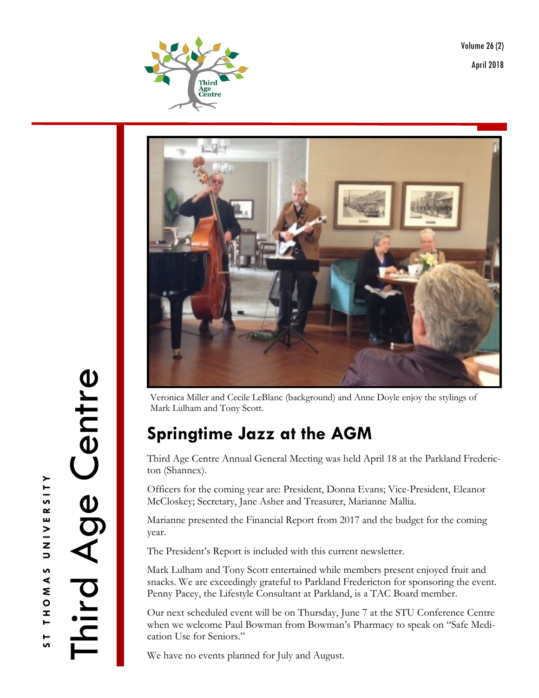Volume 26 (2) April 2018





Veronica Miller and Cecile LeBlanc (background) and Anne Doyle enjoy the stylings of Mark Lulham and Tony Scott.

## **Springtime Jazz at the AGM**

Third Age Centre Annual General Meeting was held April 18 at the Parkland Fredericton (Shannex).

Officers for the coming year are: President, Donna Evans; Vice-President, Eleanor McCloskey; Secretary, Jane Asher and Treasurer, Marianne Mallia.

Marianne presented the Financial Report from 2017 and the budget for the coming year.

The President's Report is included with this current newsletter.

Mark Lulham and Tony Scott entertained while members present enjoyed fruit and snacks. We are exceedingly grateful to Parkland Fredericton for sponsoring the event. Penny Pacey, the Lifestyle Consultant at Parkland, is a TAC Board member.

Our next scheduled event will be on Thursday, June 7 at the STU Conference Centre when we welcome Paul Bowman from Bowman's Pharmacy to speak on "Safe Medication Use for Seniors."

We have no events planned for July and August.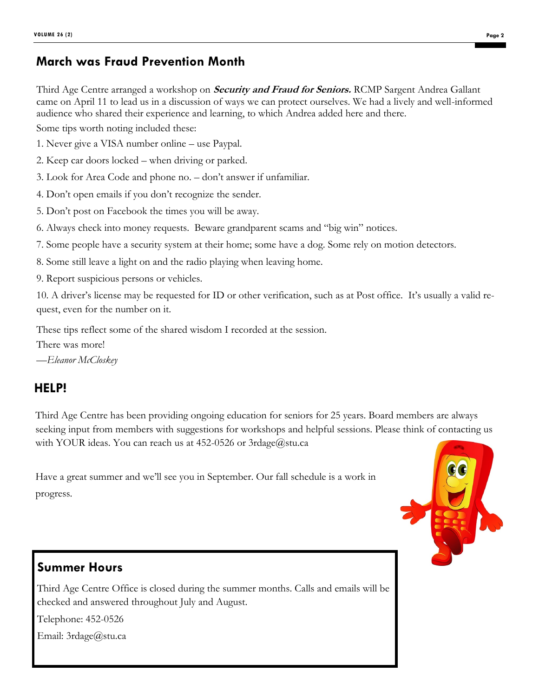### **March was Fraud Prevention Month**

Third Age Centre arranged a workshop on **Security and Fraud for Seniors.** RCMP Sargent Andrea Gallant came on April 11 to lead us in a discussion of ways we can protect ourselves. We had a lively and well-informed audience who shared their experience and learning, to which Andrea added here and there.

Some tips worth noting included these:

- 1. Never give a VISA number online use Paypal.
- 2. Keep car doors locked when driving or parked.
- 3. Look for Area Code and phone no. don't answer if unfamiliar.
- 4. Don't open emails if you don't recognize the sender.
- 5. Don't post on Facebook the times you will be away.
- 6. Always check into money requests. Beware grandparent scams and "big win" notices.
- 7. Some people have a security system at their home; some have a dog. Some rely on motion detectors.
- 8. Some still leave a light on and the radio playing when leaving home.
- 9. Report suspicious persons or vehicles.

10. A driver's license may be requested for ID or other verification, such as at Post office. It's usually a valid request, even for the number on it.

These tips reflect some of the shared wisdom I recorded at the session.

There was more!

*—Eleanor McCloskey*

### **HELP!**

Third Age Centre has been providing ongoing education for seniors for 25 years. Board members are always seeking input from members with suggestions for workshops and helpful sessions. Please think of contacting us with YOUR ideas. You can reach us at  $452{\text -}0526$  or  $3r$ dage $@$ stu.ca

Have a great summer and we'll see you in September. Our fall schedule is a work in progress.



### **Summer Hours**

Third Age Centre Office is closed during the summer months. Calls and emails will be checked and answered throughout July and August.

Telephone: 452-0526

Email: 3rdage@stu.ca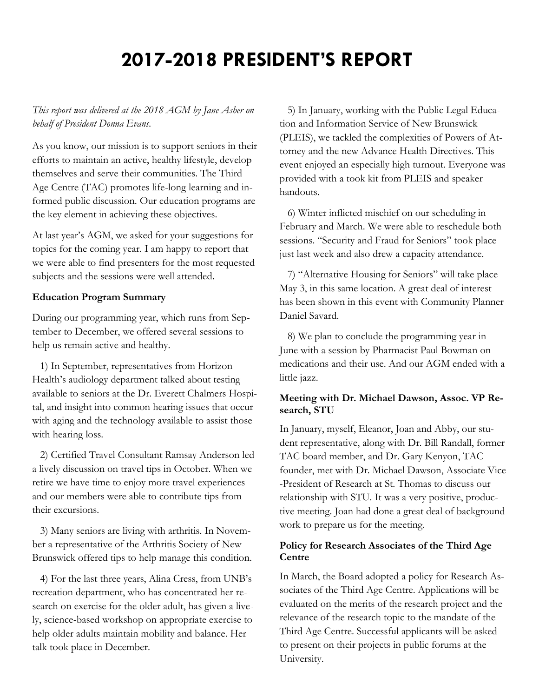# **2017-2018 PRESIDENT'S REPORT**

*This report was delivered at the 2018 AGM by Jane Asher on behalf of President Donna Evans.*

As you know, our mission is to support seniors in their efforts to maintain an active, healthy lifestyle, develop themselves and serve their communities. The Third Age Centre (TAC) promotes life-long learning and informed public discussion. Our education programs are the key element in achieving these objectives.

At last year's AGM, we asked for your suggestions for topics for the coming year. I am happy to report that we were able to find presenters for the most requested subjects and the sessions were well attended.

#### **Education Program Summary**

During our programming year, which runs from September to December, we offered several sessions to help us remain active and healthy.

 1) In September, representatives from Horizon Health's audiology department talked about testing available to seniors at the Dr. Everett Chalmers Hospital, and insight into common hearing issues that occur with aging and the technology available to assist those with hearing loss.

 2) Certified Travel Consultant Ramsay Anderson led a lively discussion on travel tips in October. When we retire we have time to enjoy more travel experiences and our members were able to contribute tips from their excursions.

 3) Many seniors are living with arthritis. In November a representative of the Arthritis Society of New Brunswick offered tips to help manage this condition.

 4) For the last three years, Alina Cress, from UNB's recreation department, who has concentrated her research on exercise for the older adult, has given a lively, science-based workshop on appropriate exercise to help older adults maintain mobility and balance. Her talk took place in December.

 5) In January, working with the Public Legal Education and Information Service of New Brunswick (PLEIS), we tackled the complexities of Powers of Attorney and the new Advance Health Directives. This event enjoyed an especially high turnout. Everyone was provided with a took kit from PLEIS and speaker handouts.

 6) Winter inflicted mischief on our scheduling in February and March. We were able to reschedule both sessions. "Security and Fraud for Seniors" took place just last week and also drew a capacity attendance.

 7) "Alternative Housing for Seniors" will take place May 3, in this same location. A great deal of interest has been shown in this event with Community Planner Daniel Savard.

 8) We plan to conclude the programming year in June with a session by Pharmacist Paul Bowman on medications and their use. And our AGM ended with a little jazz.

#### **Meeting with Dr. Michael Dawson, Assoc. VP Research, STU**

In January, myself, Eleanor, Joan and Abby, our student representative, along with Dr. Bill Randall, former TAC board member, and Dr. Gary Kenyon, TAC founder, met with Dr. Michael Dawson, Associate Vice -President of Research at St. Thomas to discuss our relationship with STU. It was a very positive, productive meeting. Joan had done a great deal of background work to prepare us for the meeting.

#### **Policy for Research Associates of the Third Age Centre**

In March, the Board adopted a policy for Research Associates of the Third Age Centre. Applications will be evaluated on the merits of the research project and the relevance of the research topic to the mandate of the Third Age Centre. Successful applicants will be asked to present on their projects in public forums at the University.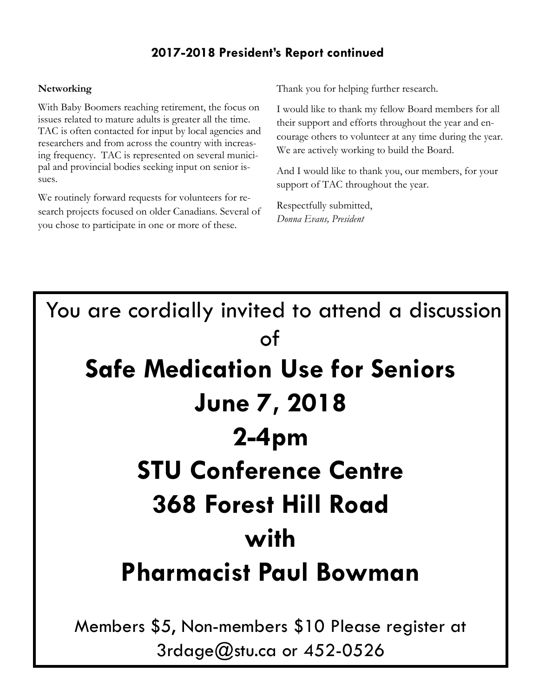## **2017-2018 President's Report continued**

#### **Networking**

With Baby Boomers reaching retirement, the focus on issues related to mature adults is greater all the time. TAC is often contacted for input by local agencies and researchers and from across the country with increasing frequency. TAC is represented on several municipal and provincial bodies seeking input on senior issues.

We routinely forward requests for volunteers for research projects focused on older Canadians. Several of you chose to participate in one or more of these.

Thank you for helping further research.

I would like to thank my fellow Board members for all their support and efforts throughout the year and encourage others to volunteer at any time during the year. We are actively working to build the Board.

And I would like to thank you, our members, for your support of TAC throughout the year.

Respectfully submitted, *Donna Evans, President*

# You are cordially invited to attend a discussion of **Safe Medication Use for Seniors June 7, 2018 2-4pm STU Conference Centre 368 Forest Hill Road with Pharmacist Paul Bowman** Members \$5, Non-members \$10 Please register at

3rdage@stu.ca or 452-0526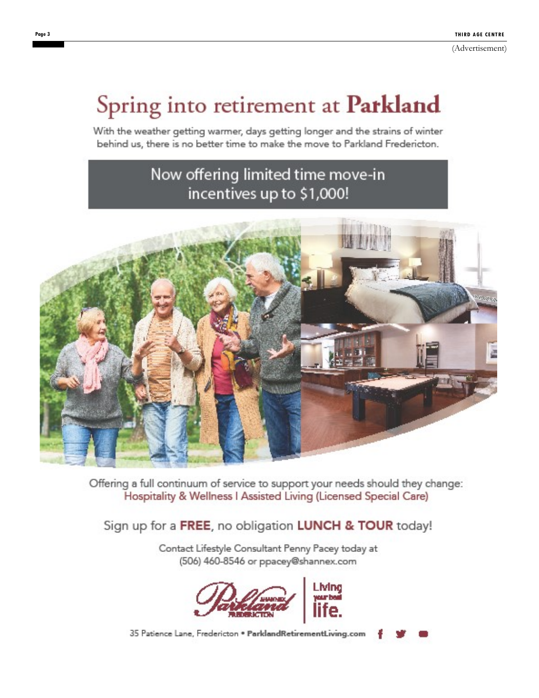# Spring into retirement at Parkland

With the weather getting warmer, days getting longer and the strains of winter behind us, there is no better time to make the move to Parkland Fredericton.

## Now offering limited time move-in incentives up to \$1,000!



Offering a full continuum of service to support your needs should they change: Hospitality & Wellness I Assisted Living (Licensed Special Care)

## Sign up for a FREE, no obligation LUNCH & TOUR today!

Contact Lifestyle Consultant Penny Pacey today at (506) 460-8546 or ppacey@shannex.com



35 Patience Lane, Fredericton . ParklandRetirementLiving.com